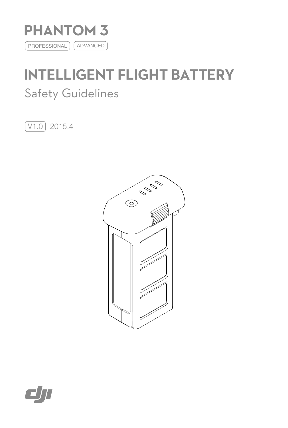

# **INTELLIGENT FLIGHT BATTERY** Safety Guidelines

 $\boxed{\text{V1.0}}$  2015.4



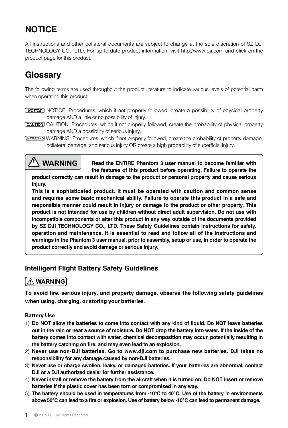# **NOTICE**

All instructions and other collateral documents are subject to change at the sole discretion of SZ DJI TECHNOLOGY CO., LTD. For up-to-date product information, visit http://www.dji.com and click on the product page for this product.

# **Glossary**

The following terms are used throughout the product literature to indicate various levels of potential harm when operating this product:

- **NOTICE:** Procedures, which if not properly followed, create a possibility of physical property damage AND a little or no possibility of injury.
- CAUTION: Procedures, which if not properly followed, create the probability of physical property damage AND a possibility of serious injury.
- **A. WARNING:** Procedures, which if not properly followed, create the probability of property damage, collateral damage, and serious injury OR create a high probability of superficial injury.



**Read the ENTIRE Phantom 3 user manual to become familiar with the features of this product before operating. Failure to operate the** 

**product correctly can result in damage to the product or personal property and cause serious injury.**

**This is a sophisticated product. It must be operated with caution and common sense and requires some basic mechanical ability. Failure to operate this product in a safe and responsible manner could result in injury or damage to the product or other property. This product is not intended for use by children without direct adult supervision. Do not use with incompatible components or alter this product in any way outside of the documents provided by SZ DJI TECHNOLOGY CO., LTD. These Safety Guidelines contain instructions for safety, operation and maintenance. It is essential to read and follow all of the instructions and warnings in the Phantom 3 user manual, prior to assembly, setup or use, in order to operate the product correctly and avoid damage or serious injury.**

# **Intelligent Flight Battery Safety Guidelines**

# $\land$  WARNING

To avoid fire, serious injury, and property damage, observe the following safety guidelines when using, charging, or storing your batteries.

# Battery Use

- 1) **Do NOT allow the batteries to come into contact with any kind of liquid. Do NOT leave batteries out in the rain or near a source of moisture. Do NOT drop the battery into water. If the inside of the battery comes into contact with water, chemical decomposition may occur, potentially resulting in the battery catching on fire, and may even lead to an explosion.**
- 2) **Never use non-DJI batteries. Go to www.dji.com to purchase new batteries. DJI takes no responsibility for any damage caused by non-DJI batteries.**
- 3) **Never use or charge swollen, leaky, or damaged batteries. If your batteries are abnormal, contact DJI or a DJI authorized dealer for further assistance.**
- 4) **Never install or remove the battery from the aircraft when it is turned on. Do NOT insert or remove batteries if the plastic cover has been torn or compromised in any way.**
- 5) **The battery should be used in temperatures from -10℃ to 40℃. Use of the battery in environments above 50℃ can lead to a fire or explosion. Use of battery below -10℃ can lead to permanent damage.**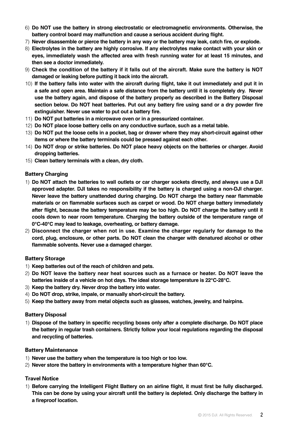- 6) **Do NOT use the battery in strong electrostatic or electromagnetic environments. Otherwise, the battery control board may malfunction and cause a serious accident during flight.**
- 7) **Never disassemble or pierce the battery in any way or the battery may leak, catch fire, or explode.**
- 8) **Electrolytes in the battery are highly corrosive. If any electrolytes make contact with your skin or eyes, immediately wash the affected area with fresh running water for at least 15 minutes, and then see a doctor immediately.**
- 9) **Check the condition of the battery if it falls out of the aircraft. Make sure the battery is NOT damaged or leaking before putting it back into the aircraft.**
- 10) **If the battery falls into water with the aircraft during flight, take it out immediately and put it in a safe and open area. Maintain a safe distance from the battery until it is completely dry. Never use the battery again, and dispose of the battery properly as described in the Battery Disposal section below. Do NOT heat batteries. Put out any battery fire using sand or a dry powder fire extinguisher. Never use water to put out a battery fire.**
- 11) **Do NOT put batteries in a microwave oven or in a pressurized container.**
- 12) **Do NOT place loose battery cells on any conductive surface, such as a metal table.**
- 13) **Do NOT put the loose cells in a pocket, bag or drawer where they may short-circuit against other items or where the battery terminals could be pressed against each other.**
- 14) **Do NOT drop or strike batteries. Do NOT place heavy objects on the batteries or charger. Avoid dropping batteries.**
- 15) **Clean battery terminals with a clean, dry cloth.**

# Battery Charging

- 1) **Do NOT attach the batteries to wall outlets or car charger sockets directly, and always use a DJI approved adapter. DJI takes no responsibility if the battery is charged using a non-DJI charger. Never leave the battery unattended during charging. Do NOT charge the battery near flammable materials or on flammable surfaces such as carpet or wood. Do NOT charge battery immediately after flight, because the battery temperature may be too high. Do NOT charge the battery until it cools down to near room temperature. Charging the battery outside of the temperature range of 0℃-40℃ may lead to leakage, overheating, or battery damage.**
- 2) **Disconnect the charger when not in use. Examine the charger regularly for damage to the cord, plug, enclosure, or other parts. Do NOT clean the charger with denatured alcohol or other flammable solvents. Never use a damaged charger.**

# Battery Storage

- 1) **Keep batteries out of the reach of children and pets.**
- 2) **Do NOT leave the battery near heat sources such as a furnace or heater. Do NOT leave the batteries inside of a vehicle on hot days. The ideal storage temperature is 22℃-28℃.**
- 3) **Keep the battery dry. Never drop the battery into water.**
- 4) **Do NOT drop, strike, impale, or manually short-circuit the battery.**
- 5) **Keep the battery away from metal objects such as glasses, watches, jewelry, and hairpins.**

# Battery Disposal

1) **Dispose of the battery in specific recycling boxes only after a complete discharge. Do NOT place the battery in regular trash containers. Strictly follow your local regulations regarding the disposal and recycling of batteries.** 

## Battery Maintenance

- 1) **Never use the battery when the temperature is too high or too low.**
- 2) **Never store the battery in environments with a temperature higher than 60℃.**

# Travel Notice

1) **Before carrying the Intelligent Flight Battery on an airline flight, it must first be fully discharged. This can be done by using your aircraft until the battery is depleted. Only discharge the battery in a fireproof location.**